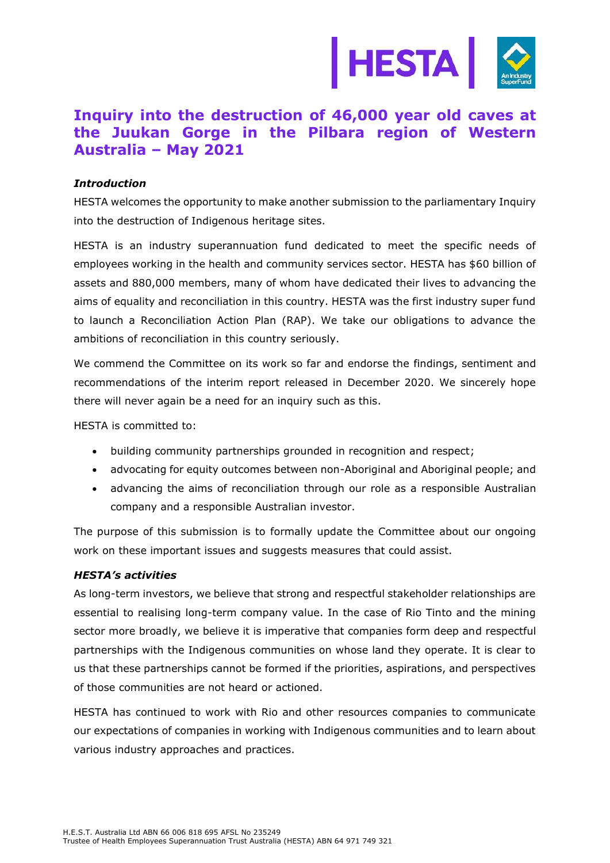

## **Inquiry into the destruction of 46,000 year old caves at the Juukan Gorge in the Pilbara region of Western Australia – May 2021**

## *Introduction*

HESTA welcomes the opportunity to make another submission to the parliamentary Inquiry into the destruction of Indigenous heritage sites.

HESTA is an industry superannuation fund dedicated to meet the specific needs of employees working in the health and community services sector. HESTA has \$60 billion of assets and 880,000 members, many of whom have dedicated their lives to advancing the aims of equality and reconciliation in this country. HESTA was the first industry super fund to launch a Reconciliation Action Plan (RAP). We take our obligations to advance the ambitions of reconciliation in this country seriously.

We commend the Committee on its work so far and endorse the findings, sentiment and recommendations of the interim report released in December 2020. We sincerely hope there will never again be a need for an inquiry such as this.

HESTA is committed to:

- building community partnerships grounded in recognition and respect;
- advocating for equity outcomes between non-Aboriginal and Aboriginal people; and
- advancing the aims of reconciliation through our role as a responsible Australian company and a responsible Australian investor.

The purpose of this submission is to formally update the Committee about our ongoing work on these important issues and suggests measures that could assist.

## *HESTA's activities*

As long-term investors, we believe that strong and respectful stakeholder relationships are essential to realising long-term company value. In the case of Rio Tinto and the mining sector more broadly, we believe it is imperative that companies form deep and respectful partnerships with the Indigenous communities on whose land they operate. It is clear to us that these partnerships cannot be formed if the priorities, aspirations, and perspectives of those communities are not heard or actioned.

HESTA has continued to work with Rio and other resources companies to communicate our expectations of companies in working with Indigenous communities and to learn about various industry approaches and practices.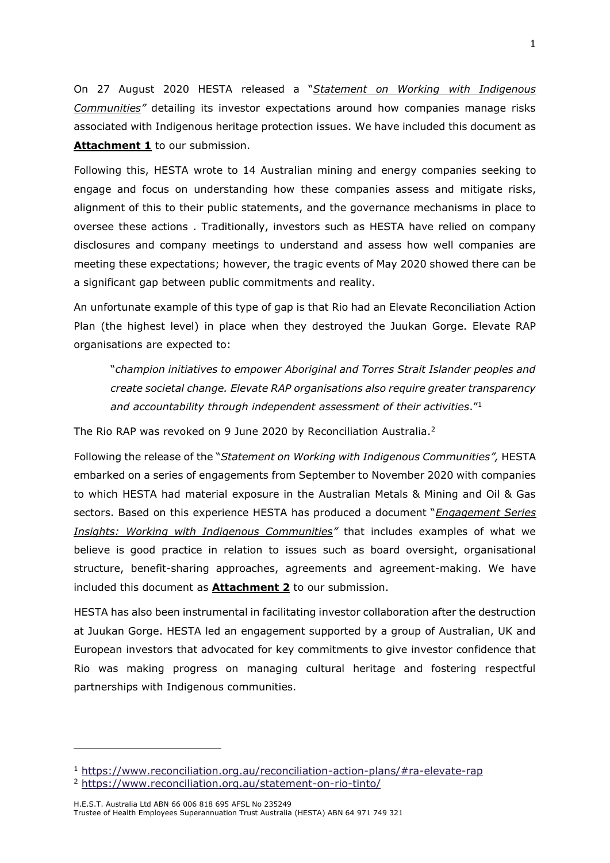On 27 August 2020 HESTA released a "*Statement on Working with Indigenous Communities"* detailing its investor expectations around how companies manage risks associated with Indigenous heritage protection issues. We have included this document as Attachment 1 to our submission.

Following this, HESTA wrote to 14 Australian mining and energy companies seeking to engage and focus on understanding how these companies assess and mitigate risks, alignment of this to their public statements, and the governance mechanisms in place to oversee these actions . Traditionally, investors such as HESTA have relied on company disclosures and company meetings to understand and assess how well companies are meeting these expectations; however, the tragic events of May 2020 showed there can be a significant gap between public commitments and reality.

An unfortunate example of this type of gap is that Rio had an Elevate Reconciliation Action Plan (the highest level) in place when they destroyed the Juukan Gorge. Elevate RAP organisations are expected to:

"*champion initiatives to empower Aboriginal and Torres Strait Islander peoples and create societal change. Elevate RAP organisations also require greater transparency and accountability through independent assessment of their activities*." 1

The Rio RAP was revoked on 9 June 2020 by Reconciliation Australia.<sup>2</sup>

Following the release of the "*Statement on Working with Indigenous Communities",* HESTA embarked on a series of engagements from September to November 2020 with companies to which HESTA had material exposure in the Australian Metals & Mining and Oil & Gas sectors. Based on this experience HESTA has produced a document "*Engagement Series Insights: Working with Indigenous Communities"* that includes examples of what we believe is good practice in relation to issues such as board oversight, organisational structure, benefit-sharing approaches, agreements and agreement-making. We have included this document as **Attachment 2** to our submission.

HESTA has also been instrumental in facilitating investor collaboration after the destruction at Juukan Gorge. HESTA led an engagement supported by a group of Australian, UK and European investors that advocated for key commitments to give investor confidence that Rio was making progress on managing cultural heritage and fostering respectful partnerships with Indigenous communities.

<sup>1</sup> <https://www.reconciliation.org.au/reconciliation-action-plans/#ra-elevate-rap>

<sup>2</sup> <https://www.reconciliation.org.au/statement-on-rio-tinto/>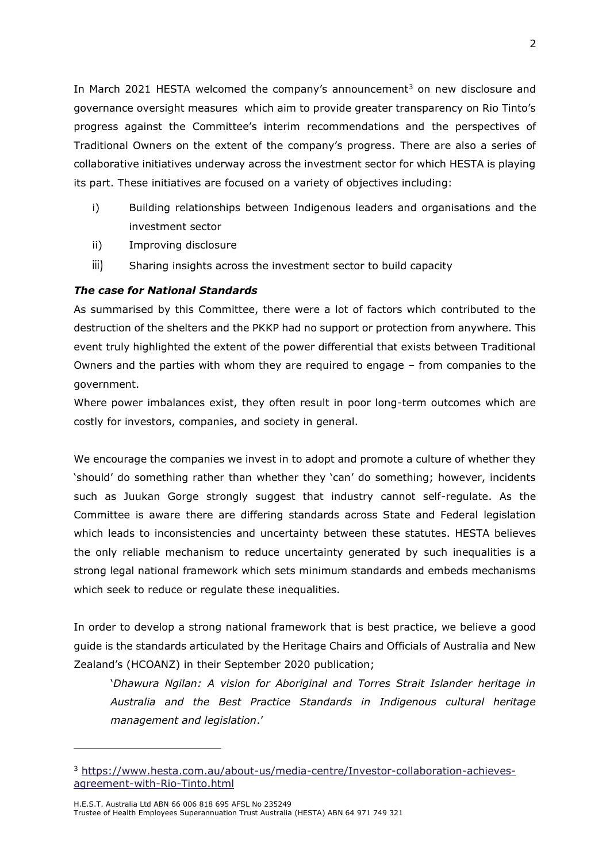In March 2021 HESTA welcomed the company's announcement<sup>3</sup> on new disclosure and governance oversight measures which aim to provide greater transparency on Rio Tinto's progress against the Committee's interim recommendations and the perspectives of Traditional Owners on the extent of the company's progress. There are also a series of collaborative initiatives underway across the investment sector for which HESTA is playing its part. These initiatives are focused on a variety of objectives including:

- i) Building relationships between Indigenous leaders and organisations and the investment sector
- ii) Improving disclosure
- iii) Sharing insights across the investment sector to build capacity

## *The case for National Standards*

As summarised by this Committee, there were a lot of factors which contributed to the destruction of the shelters and the PKKP had no support or protection from anywhere. This event truly highlighted the extent of the power differential that exists between Traditional Owners and the parties with whom they are required to engage – from companies to the government.

Where power imbalances exist, they often result in poor long-term outcomes which are costly for investors, companies, and society in general.

We encourage the companies we invest in to adopt and promote a culture of whether they 'should' do something rather than whether they 'can' do something; however, incidents such as Juukan Gorge strongly suggest that industry cannot self-regulate. As the Committee is aware there are differing standards across State and Federal legislation which leads to inconsistencies and uncertainty between these statutes. HESTA believes the only reliable mechanism to reduce uncertainty generated by such inequalities is a strong legal national framework which sets minimum standards and embeds mechanisms which seek to reduce or regulate these inequalities.

In order to develop a strong national framework that is best practice, we believe a good guide is the standards articulated by the Heritage Chairs and Officials of Australia and New Zealand's (HCOANZ) in their September 2020 publication;

'*Dhawura Ngilan: A vision for Aboriginal and Torres Strait Islander heritage in Australia and the Best Practice Standards in Indigenous cultural heritage management and legislation*.'

<sup>3</sup> [https://www.hesta.com.au/about-us/media-centre/Investor-collaboration-achieves](https://www.hesta.com.au/about-us/media-centre/Investor-collaboration-achieves-agreement-with-Rio-Tinto.html)[agreement-with-Rio-Tinto.html](https://www.hesta.com.au/about-us/media-centre/Investor-collaboration-achieves-agreement-with-Rio-Tinto.html)